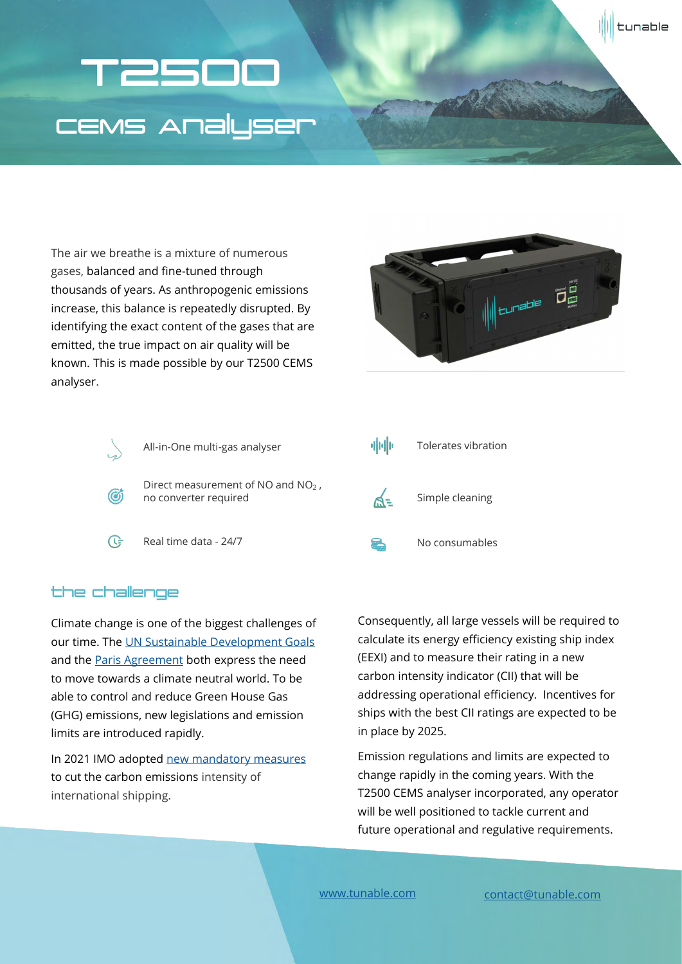# T2500 CEMS Analyser

The air we breathe is a mixture of numerous gases, balanced and fine-tuned through thousands of years. As anthropogenic emissions increase, this balance is repeatedly disrupted. By identifying the exact content of the gases that are emitted, the true impact on air quality will be known. This is made possible by our T2500 CEMS analyser.



tunable



### the challenge

Climate change is one of the biggest challenges of our time. The [UN Sustainable Development Goals](https://www.un.org/sustainabledevelopment/climate-change/) and the [Paris Agreement b](https://unfccc.int/)oth express the need to move towards a climate neutral world. To be able to control and reduce Green House Gas (GHG) emissions, new legislations and emission limits are introduced rapidly.

In 2021 IMO adopted [new mandatory measures](https://www.imo.org/en/MediaCentre/PressBriefings/pages/MEPC76.aspx) to cut the carbon emissions intensity of international shipping.

Consequently, all large vessels will be required to calculate its energy efficiency existing ship index (EEXI) and to measure their rating in a new carbon intensity indicator (CII) that will be addressing operational efficiency. Incentives for ships with the best CII ratings are expected to be in place by 2025.

Emission regulations and limits are expected to change rapidly in the coming years. With the T2500 CEMS analyser incorporated, any operator will be well positioned to tackle current and future operational and regulative requirements.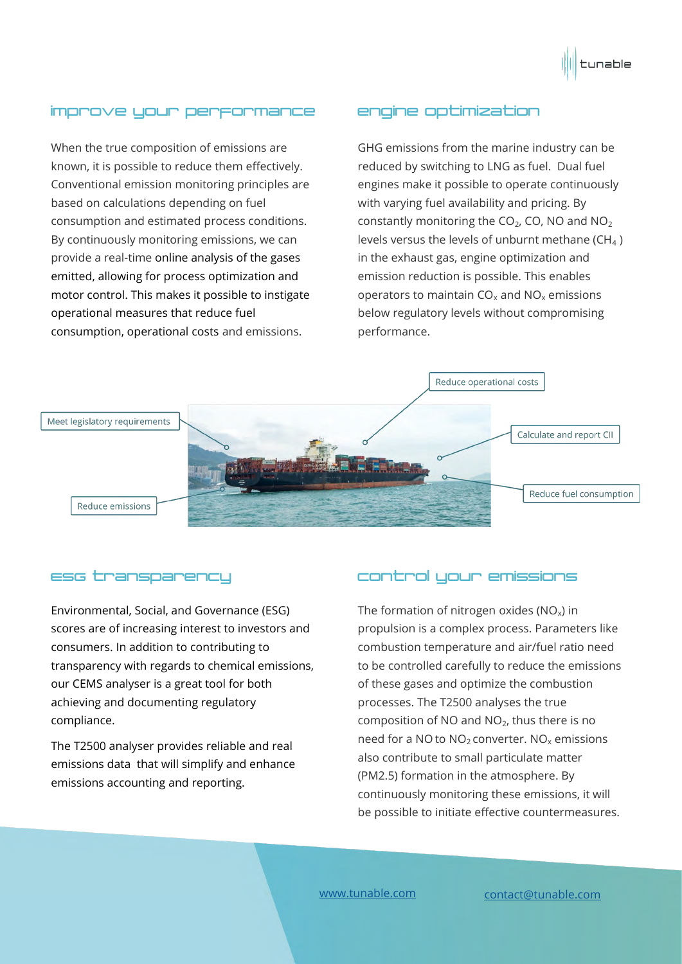

# improve your performance

When the true composition of emissions are known, it is possible to reduce them effectively. Conventional emission monitoring principles are based on calculations depending on fuel consumption and estimated process conditions. By continuously monitoring emissions, we can provide a real-time online analysis of the gases emitted, allowing for process optimization and motor control. This makes it possible to instigate operational measures that reduce fuel consumption, operational costs and emissions.

#### engine optimization

GHG emissions from the marine industry can be reduced by switching to LNG as fuel. Dual fuel engines make it possible to operate continuously with varying fuel availability and pricing. By constantly monitoring the  $CO<sub>2</sub>$ , CO, NO and NO<sub>2</sub> levels versus the levels of unburnt methane ( $CH<sub>4</sub>$ ) in the exhaust gas, engine optimization and emission reduction is possible. This enables operators to maintain  $CO_x$  and  $NO_x$  emissions below regulatory levels without compromising performance.



#### ESG transparency

Environmental, Social, and Governance (ESG) scores are of increasing interest to investors and consumers. In addition to contributing to transparency with regards to chemical emissions, our CEMS analyser is a great tool for both achieving and documenting regulatory compliance.

The T2500 analyser provides reliable and real emissions data that will simplify and enhance emissions accounting and reporting.

## control your emissions

The formation of nitrogen oxides ( $NO<sub>x</sub>$ ) in propulsion is a complex process. Parameters like combustion temperature and air/fuel ratio need to be controlled carefully to reduce the emissions of these gases and optimize the combustion processes. The T2500 analyses the true composition of NO and  $NO<sub>2</sub>$ , thus there is no need for a NO to  $NO<sub>2</sub>$  converter. NO<sub>x</sub> emissions also contribute to small particulate matter (PM2.5) formation in the atmosphere. By continuously monitoring these emissions, it will be possible to initiate effective countermeasures.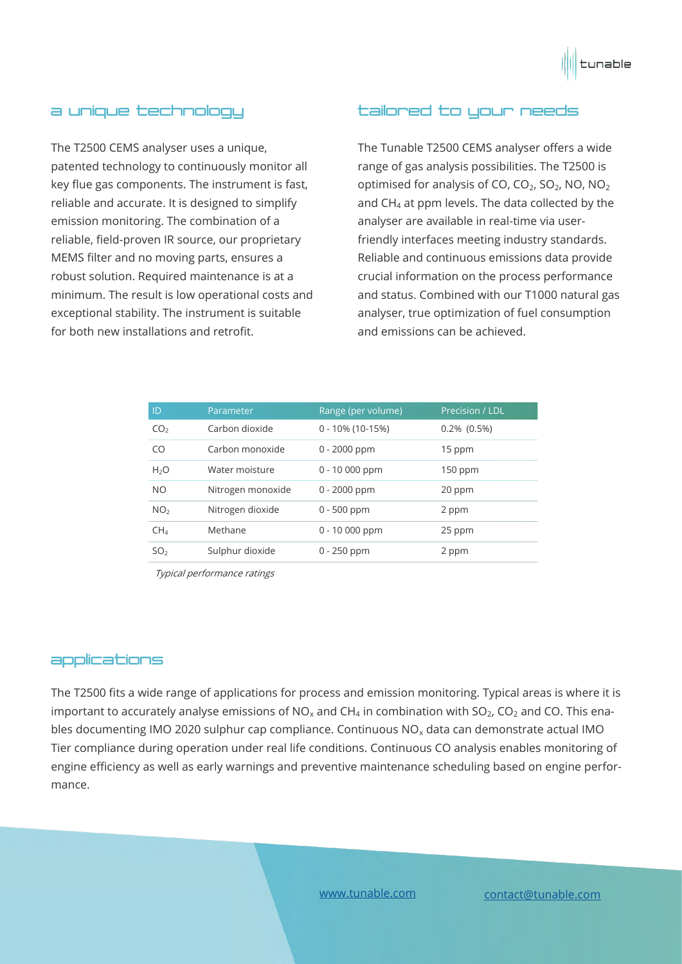

#### a unique technology

The T2500 CEMS analyser uses a unique, patented technology to continuously monitor all key flue gas components. The instrument is fast, reliable and accurate. It is designed to simplify emission monitoring. The combination of a reliable, field-proven IR source, our proprietary MEMS filter and no moving parts, ensures a robust solution. Required maintenance is at a minimum. The result is low operational costs and exceptional stability. The instrument is suitable for both new installations and retrofit.

#### tailored to your needs

The Tunable T2500 CEMS analyser offers a wide range of gas analysis possibilities. The T2500 is optimised for analysis of CO,  $CO<sub>2</sub>$ , SO<sub>2</sub>, NO, NO<sub>2</sub> and  $CH<sub>4</sub>$  at ppm levels. The data collected by the analyser are available in real-time via userfriendly interfaces meeting industry standards. Reliable and continuous emissions data provide crucial information on the process performance and status. Combined with our T1000 natural gas analyser, true optimization of fuel consumption and emissions can be achieved.

| ID              | Parameter         | Range (per volume)  | Precision / LDL |
|-----------------|-------------------|---------------------|-----------------|
| CO <sub>2</sub> | Carbon dioxide    | $0 - 10\%$ (10-15%) | $0.2\%$ (0.5%)  |
| CO              | Carbon monoxide   | $0 - 2000$ ppm      | 15 ppm          |
| $H_2O$          | Water moisture    | $0 - 10000$ ppm     | $150$ ppm       |
| <b>NO</b>       | Nitrogen monoxide | $0 - 2000$ ppm      | 20 ppm          |
| NO <sub>2</sub> | Nitrogen dioxide  | $0 - 500$ ppm       | 2 ppm           |
| CH <sub>4</sub> | Methane           | $0 - 10000$ ppm     | 25 ppm          |
| SO <sub>2</sub> | Sulphur dioxide   | $0 - 250$ ppm       | 2 ppm           |
|                 |                   |                     |                 |

Typical performance ratings

#### applications

The T2500 fits a wide range of applications for process and emission monitoring. Typical areas is where it is important to accurately analyse emissions of NO<sub>x</sub> and CH<sub>4</sub> in combination with SO<sub>2</sub>, CO<sub>2</sub> and CO. This enables documenting IMO 2020 sulphur cap compliance. Continuous  $NO<sub>x</sub>$  data can demonstrate actual IMO Tier compliance during operation under real life conditions. Continuous CO analysis enables monitoring of engine efficiency as well as early warnings and preventive maintenance scheduling based on engine performance.